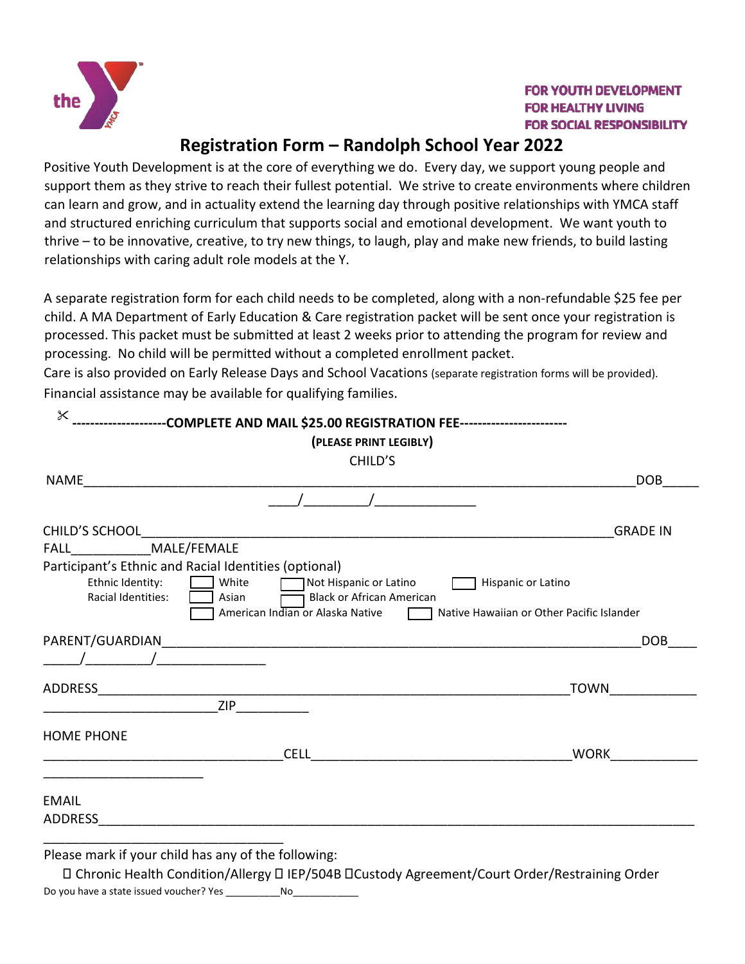

 $\checkmark$ 

## **FOR YOUTH DEVELOPMENT FOR HEALTHY LIVING FOR SOCIAL RESPONSIBILITY**

## **Registration Form – Randolph School Year 2022**

Positive Youth Development is at the core of everything we do. Every day, we support young people and support them as they strive to reach their fullest potential. We strive to create environments where children can learn and grow, and in actuality extend the learning day through positive relationships with YMCA staff and structured enriching curriculum that supports social and emotional development. We want youth to thrive – to be innovative, creative, to try new things, to laugh, play and make new friends, to build lasting relationships with caring adult role models at the Y.

A separate registration form for each child needs to be completed, along with a non-refundable \$25 fee per child. A MA Department of Early Education & Care registration packet will be sent once your registration is processed. This packet must be submitted at least 2 weeks prior to attending the program for review and processing. No child will be permitted without a completed enrollment packet.

Care is also provided on Early Release Days and School Vacations (separate registration forms will be provided). Financial assistance may be available for qualifying families.

| ---------------------COMPLETE AND MAIL \$25.00 REGISTRATION FEE-----------------------                                                                                                                              |                                                                 |
|---------------------------------------------------------------------------------------------------------------------------------------------------------------------------------------------------------------------|-----------------------------------------------------------------|
| (PLEASE PRINT LEGIBLY)                                                                                                                                                                                              |                                                                 |
| CHILD'S                                                                                                                                                                                                             |                                                                 |
| NAME                                                                                                                                                                                                                | <b>DOB</b>                                                      |
|                                                                                                                                                                                                                     |                                                                 |
| CHILD'S SCHOOL                                                                                                                                                                                                      | <b>GRADE IN</b>                                                 |
| FALL MALE/FEMALE                                                                                                                                                                                                    |                                                                 |
| Participant's Ethnic and Racial Identities (optional)<br>White<br>Ethnic Identity:<br>Not Hispanic or Latino<br>Racial Identities:<br><b>Black or African American</b><br>Asian<br>American Indian or Alaska Native | Hispanic or Latino<br>Native Hawaiian or Other Pacific Islander |
|                                                                                                                                                                                                                     | <b>DOB</b>                                                      |
| <u> 1980 - Johann Barbara, martin a</u>                                                                                                                                                                             |                                                                 |
| ADDRESS                                                                                                                                                                                                             | TOWN                                                            |
| <b>ZIP</b>                                                                                                                                                                                                          |                                                                 |
| <b>HOME PHONE</b>                                                                                                                                                                                                   |                                                                 |
| <b>CELL</b>                                                                                                                                                                                                         | <b>WORK</b>                                                     |
| <b>EMAIL</b><br><b>ADDRESS</b>                                                                                                                                                                                      |                                                                 |
|                                                                                                                                                                                                                     |                                                                 |

Please mark if your child has any of the following:

 Chronic Health Condition/Allergy IEP/504B Custody Agreement/Court Order/Restraining Order Do you have a state issued voucher? Yes No